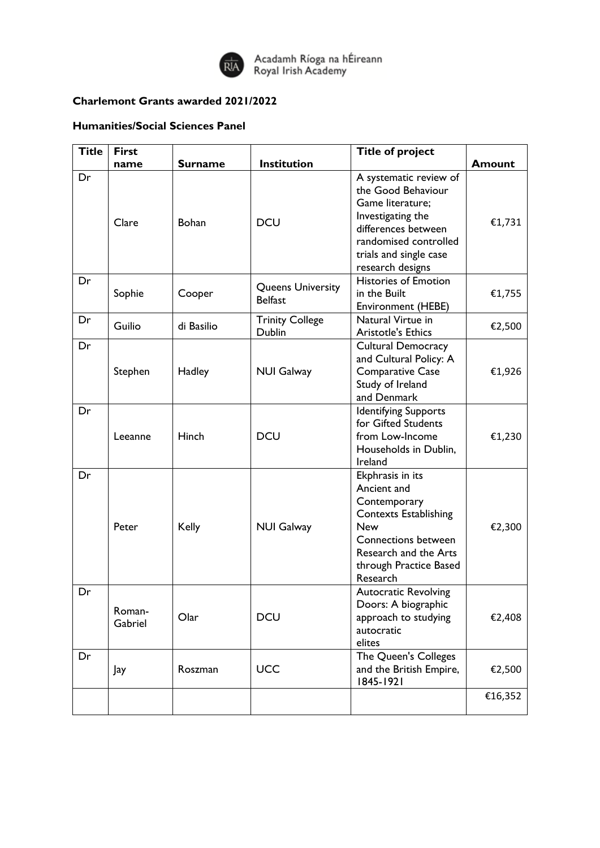

Acadamh Ríoga na hÉireann<br>Royal Irish Academy

## **Charlemont Grants awarded 2021/2022**

## **Humanities/Social Sciences Panel**

| <b>Title</b> | <b>First</b>      |                |                                            | <b>Title of project</b>                                                                                                                                                                    |               |
|--------------|-------------------|----------------|--------------------------------------------|--------------------------------------------------------------------------------------------------------------------------------------------------------------------------------------------|---------------|
|              | name              | <b>Surname</b> | Institution                                |                                                                                                                                                                                            | <b>Amount</b> |
| Dr           | Clare             | Bohan          | <b>DCU</b>                                 | A systematic review of<br>the Good Behaviour<br>Game literature;<br>Investigating the<br>differences between<br>randomised controlled<br>trials and single case<br>research designs        | €1,731        |
| Dr           | Sophie            | Cooper         | <b>Queens University</b><br><b>Belfast</b> | <b>Histories of Emotion</b><br>in the Built<br>Environment (HEBE)                                                                                                                          | €1,755        |
| Dr           | Guilio            | di Basilio     | <b>Trinity College</b><br>Dublin           | Natural Virtue in<br><b>Aristotle's Ethics</b>                                                                                                                                             | €2,500        |
| Dr           | Stephen           | Hadley         | <b>NUI Galway</b>                          | <b>Cultural Democracy</b><br>and Cultural Policy: A<br><b>Comparative Case</b><br>Study of Ireland<br>and Denmark                                                                          | €1,926        |
| Dr           | Leeanne           | Hinch          | <b>DCU</b>                                 | <b>Identifying Supports</b><br>for Gifted Students<br>from Low-Income<br>Households in Dublin,<br>Ireland                                                                                  | €1,230        |
| Dr           | Peter             | <b>Kelly</b>   | <b>NUI Galway</b>                          | Ekphrasis in its<br>Ancient and<br>Contemporary<br><b>Contexts Establishing</b><br><b>New</b><br><b>Connections between</b><br>Research and the Arts<br>through Practice Based<br>Research | €2,300        |
| Dr           | Roman-<br>Gabriel | Olar           | <b>DCU</b>                                 | <b>Autocratic Revolving</b><br>Doors: A biographic<br>approach to studying<br>autocratic<br>elites                                                                                         | €2,408        |
| Dr           | Jay               | Roszman        | <b>UCC</b>                                 | The Queen's Colleges<br>and the British Empire,<br>1845-1921                                                                                                                               | €2,500        |
|              |                   |                |                                            |                                                                                                                                                                                            | €16,352       |